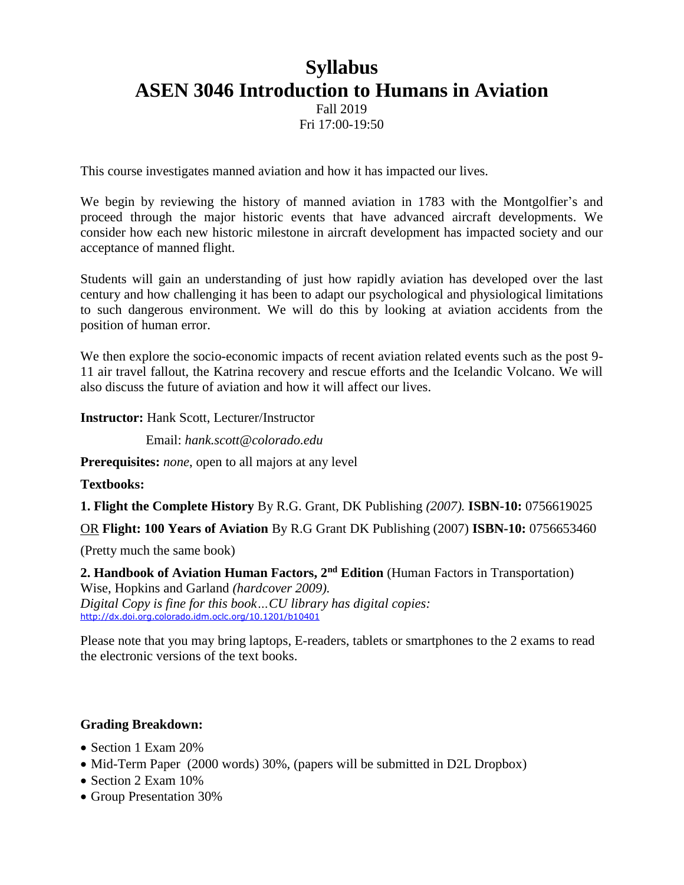# **Syllabus ASEN 3046 Introduction to Humans in Aviation**

Fall 2019 Fri 17:00-19:50

This course investigates manned aviation and how it has impacted our lives.

We begin by reviewing the history of manned aviation in 1783 with the Montgolfier's and proceed through the major historic events that have advanced aircraft developments. We consider how each new historic milestone in aircraft development has impacted society and our acceptance of manned flight.

Students will gain an understanding of just how rapidly aviation has developed over the last century and how challenging it has been to adapt our psychological and physiological limitations to such dangerous environment. We will do this by looking at aviation accidents from the position of human error.

We then explore the socio-economic impacts of recent aviation related events such as the post 9- 11 air travel fallout, the Katrina recovery and rescue efforts and the Icelandic Volcano. We will also discuss the future of aviation and how it will affect our lives.

**Instructor:** Hank Scott, Lecturer/Instructor

Email: *hank.scott@colorado.edu*

**Prerequisites:** *none*, open to all majors at any level

**Textbooks:**

**1. Flight the Complete History** By R.G. Grant, DK Publishing *(2007).* **ISBN-10:** 0756619025

OR **Flight: 100 Years of Aviation** By R.G Grant DK Publishing (2007) **ISBN-10:** 0756653460

(Pretty much the same book)

**2. Handbook of Aviation Human Factors, 2nd Edition** (Human Factors in Transportation) Wise, Hopkins and Garland *(hardcover 2009). Digital Copy is fine for this book…CU library has digital copies:* <http://dx.doi.org.colorado.idm.oclc.org/10.1201/b10401>

Please note that you may bring laptops, E-readers, tablets or smartphones to the 2 exams to read the electronic versions of the text books.

#### **Grading Breakdown:**

- Section 1 Exam 20%
- Mid-Term Paper (2000 words) 30%, (papers will be submitted in D2L Dropbox)
- Section 2 Exam 10%
- Group Presentation 30%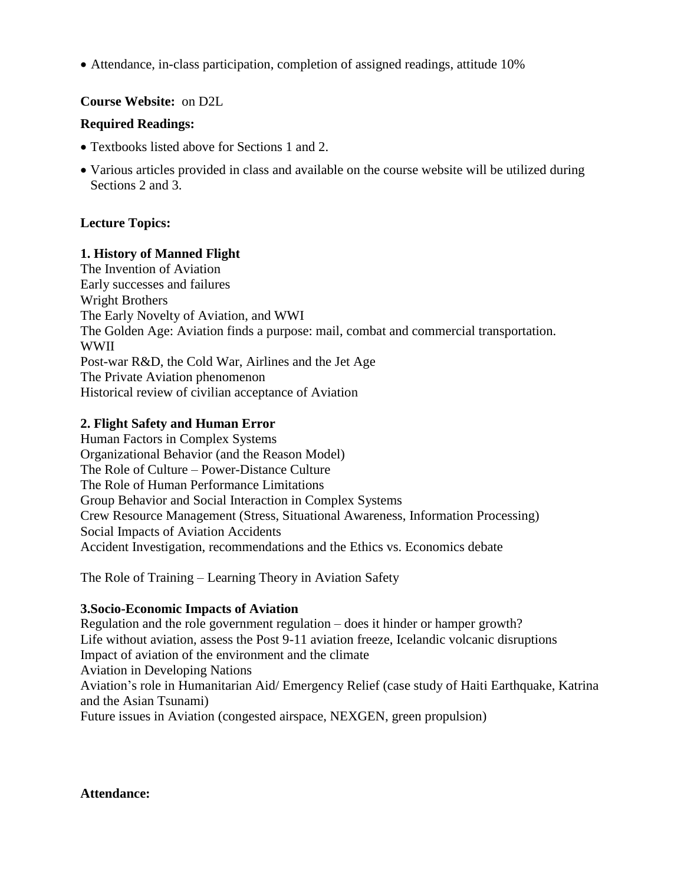Attendance, in-class participation, completion of assigned readings, attitude 10%

## **Course Website:** on D2L

#### **Required Readings:**

- Textbooks listed above for Sections 1 and 2.
- Various articles provided in class and available on the course website will be utilized during Sections 2 and 3.

## **Lecture Topics:**

### **1. History of Manned Flight**

The Invention of Aviation Early successes and failures Wright Brothers The Early Novelty of Aviation, and WWI The Golden Age: Aviation finds a purpose: mail, combat and commercial transportation. WWII Post-war R&D, the Cold War, Airlines and the Jet Age The Private Aviation phenomenon Historical review of civilian acceptance of Aviation

## **2. Flight Safety and Human Error**

Human Factors in Complex Systems Organizational Behavior (and the Reason Model) The Role of Culture – Power-Distance Culture The Role of Human Performance Limitations Group Behavior and Social Interaction in Complex Systems Crew Resource Management (Stress, Situational Awareness, Information Processing) Social Impacts of Aviation Accidents Accident Investigation, recommendations and the Ethics vs. Economics debate

The Role of Training – Learning Theory in Aviation Safety

## **3.Socio-Economic Impacts of Aviation**

Regulation and the role government regulation – does it hinder or hamper growth? Life without aviation, assess the Post 9-11 aviation freeze, Icelandic volcanic disruptions Impact of aviation of the environment and the climate Aviation in Developing Nations Aviation's role in Humanitarian Aid/ Emergency Relief (case study of Haiti Earthquake, Katrina and the Asian Tsunami) Future issues in Aviation (congested airspace, NEXGEN, green propulsion)

**Attendance:**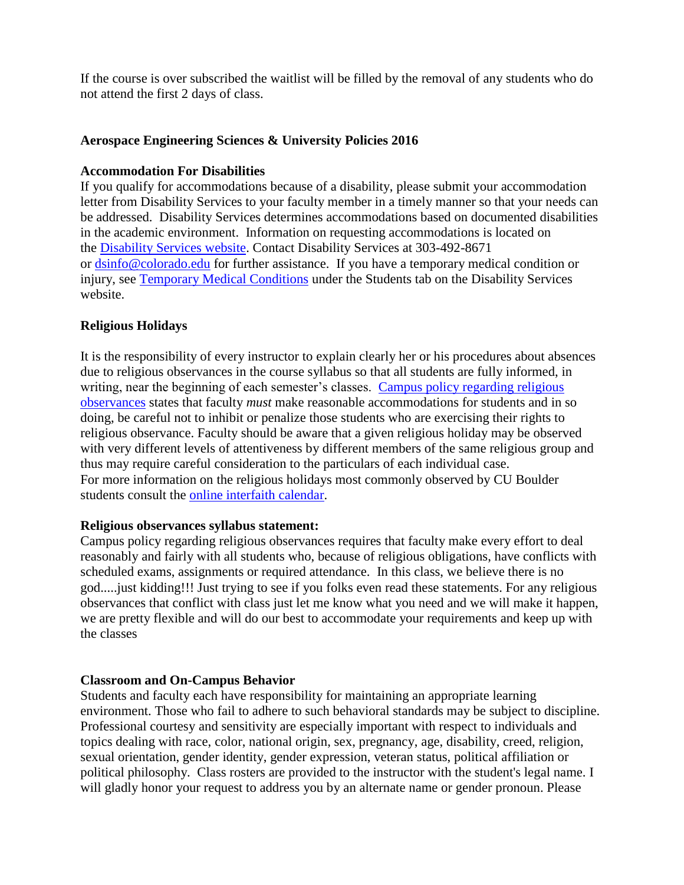If the course is over subscribed the waitlist will be filled by the removal of any students who do not attend the first 2 days of class.

#### **Aerospace Engineering Sciences & University Policies 2016**

#### **Accommodation For Disabilities**

If you qualify for accommodations because of a disability, please submit your accommodation letter from Disability Services to your faculty member in a timely manner so that your needs can be addressed. Disability Services determines accommodations based on documented disabilities in the academic environment. Information on requesting accommodations is located on the **Disability Services website**. Contact Disability Services at 303-492-8671 or [dsinfo@colorado.edu](mailto:dsinfo@colorado.edu) for further assistance. If you have a temporary medical condition or injury, see [Temporary Medical Conditions](http://www.colorado.edu/disabilityservices/students/temporary-medical-conditions) under the Students tab on the Disability Services website.

## **Religious Holidays**

It is the responsibility of every instructor to explain clearly her or his procedures about absences due to religious observances in the course syllabus so that all students are fully informed, in writing, near the beginning of each semester's classes. Campus policy regarding religious [observances](http://www.colorado.edu/policies/observance-religious-holidays-and-absences-classes-andor-exams) states that faculty *must* make reasonable accommodations for students and in so doing, be careful not to inhibit or penalize those students who are exercising their rights to religious observance. Faculty should be aware that a given religious holiday may be observed with very different levels of attentiveness by different members of the same religious group and thus may require careful consideration to the particulars of each individual case. For more information on the religious holidays most commonly observed by CU Boulder students consult the [online interfaith](http://www.interfaith-calendar.org/) calendar.

#### **Religious observances syllabus statement:**

Campus policy regarding religious observances requires that faculty make every effort to deal reasonably and fairly with all students who, because of religious obligations, have conflicts with scheduled exams, assignments or required attendance. In this class, we believe there is no god.....just kidding!!! Just trying to see if you folks even read these statements. For any religious observances that conflict with class just let me know what you need and we will make it happen, we are pretty flexible and will do our best to accommodate your requirements and keep up with the classes

## **Classroom and On-Campus Behavior**

Students and faculty each have responsibility for maintaining an appropriate learning environment. Those who fail to adhere to such behavioral standards may be subject to discipline. Professional courtesy and sensitivity are especially important with respect to individuals and topics dealing with race, color, national origin, sex, pregnancy, age, disability, creed, religion, sexual orientation, gender identity, gender expression, veteran status, political affiliation or political philosophy. Class rosters are provided to the instructor with the student's legal name. I will gladly honor your request to address you by an alternate name or gender pronoun. Please